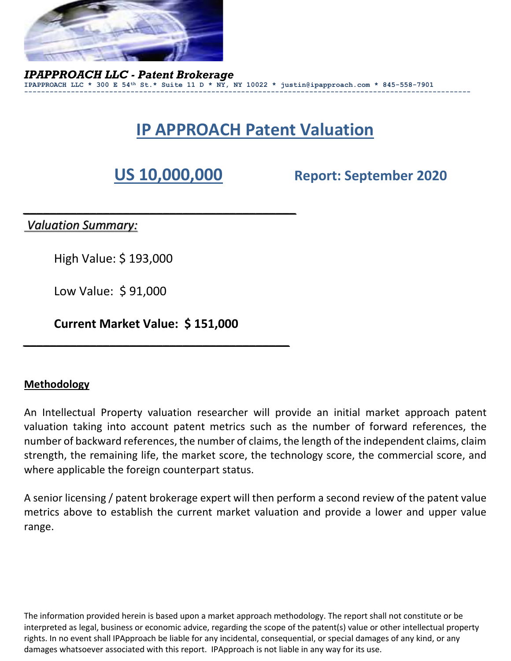

*IPAPPROACH LLC - Patent Brokerage* **IPAPPROACH LLC \* 300 E 54th St.\* Suite 11 D \* NY, NY 10022 \* justin@ipapproach.com \* 845-558-7901 ---------------------------------------------------------------------------------------------------------**

# **IP APPROACH Patent Valuation**

*\_\_\_\_\_\_\_\_\_\_\_\_\_\_\_\_\_\_\_\_\_\_\_\_\_\_\_\_\_\_\_\_\_\_\_\_\_\_\_\_\_*

**US 10,000,000 Report: September 2020**

*Valuation Summary:*

High Value: \$ 193,000

Low Value: \$ 91,000

**Current Market Value: \$ 151,000**

*\_\_\_\_\_\_\_\_\_\_\_\_\_\_\_\_\_\_\_\_\_\_\_\_\_\_\_\_\_\_\_\_\_\_\_\_\_\_\_\_*

#### **Methodology**

An Intellectual Property valuation researcher will provide an initial market approach patent valuation taking into account patent metrics such as the number of forward references, the number of backward references, the number of claims, the length of the independent claims, claim strength, the remaining life, the market score, the technology score, the commercial score, and where applicable the foreign counterpart status.

A senior licensing / patent brokerage expert will then perform a second review of the patent value metrics above to establish the current market valuation and provide a lower and upper value range.

The information provided herein is based upon a market approach methodology. The report shall not constitute or be interpreted as legal, business or economic advice, regarding the scope of the patent(s) value or other intellectual property rights. In no event shall IPApproach be liable for any incidental, consequential, or special damages of any kind, or any damages whatsoever associated with this report. IPApproach is not liable in any way for its use.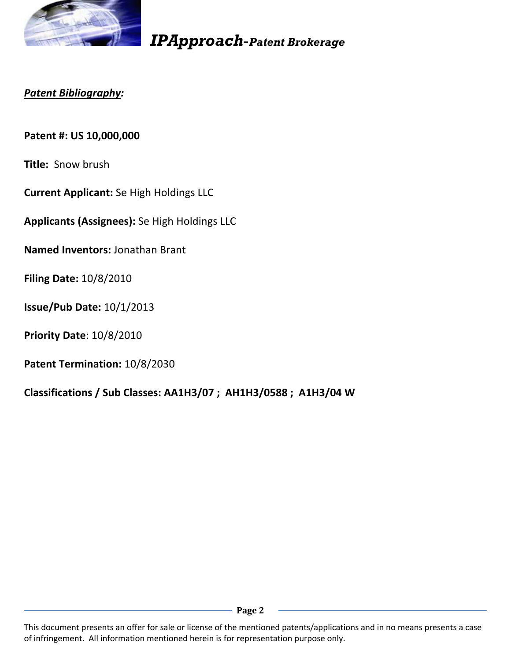

#### *Patent Bibliography:*

**Patent #: US 10,000,000**

**Title:** Snow brush

**Current Applicant:** Se High Holdings LLC

**Applicants (Assignees):** Se High Holdings LLC

**Named Inventors:** Jonathan Brant

**Filing Date:** 10/8/2010

**Issue/Pub Date:** 10/1/2013

**Priority Date**: 10/8/2010

**Patent Termination:** 10/8/2030

**Classifications / Sub Classes: AA1H3/07 ; AH1H3/0588 ; A1H3/04 W**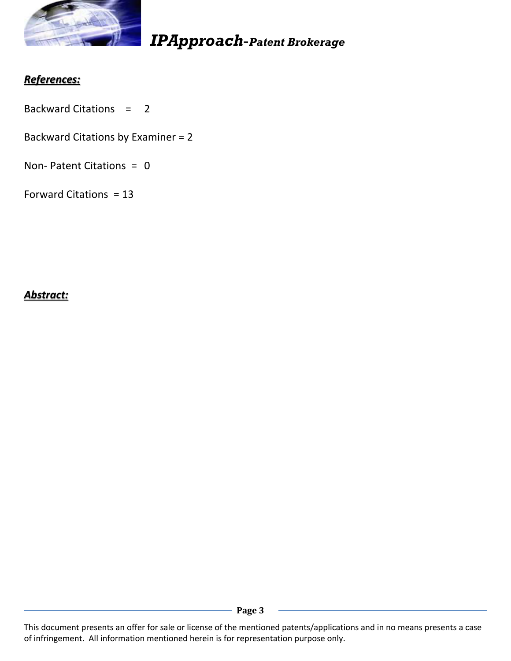

## *References:*

- Backward Citations = 2
- Backward Citations by Examiner = 2
- Non- Patent Citations = 0
- Forward Citations = 13

#### *Abstract:*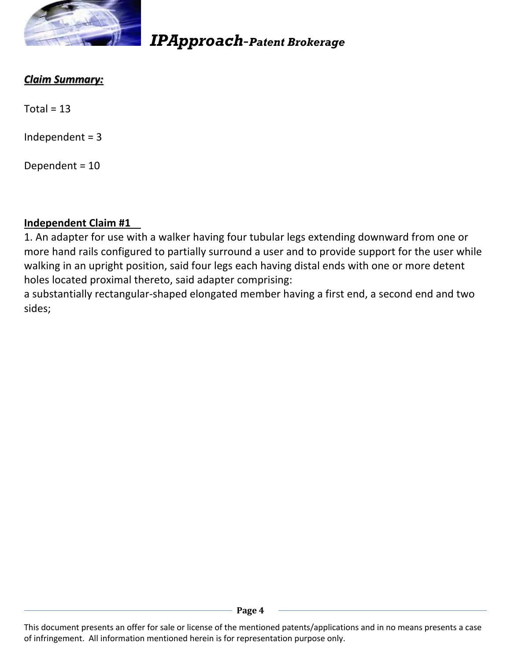

# *Claim Summary:*

 $Total = 13$ 

Independent  $= 3$ 

Dependent = 10

### **Independent Claim #1**

1. An adapter for use with a walker having four tubular legs extending downward from one or more hand rails configured to partially surround a user and to provide support for the user while walking in an upright position, said four legs each having distal ends with one or more detent holes located proximal thereto, said adapter comprising:

a substantially rectangular-shaped elongated member having a first end, a second end and two sides;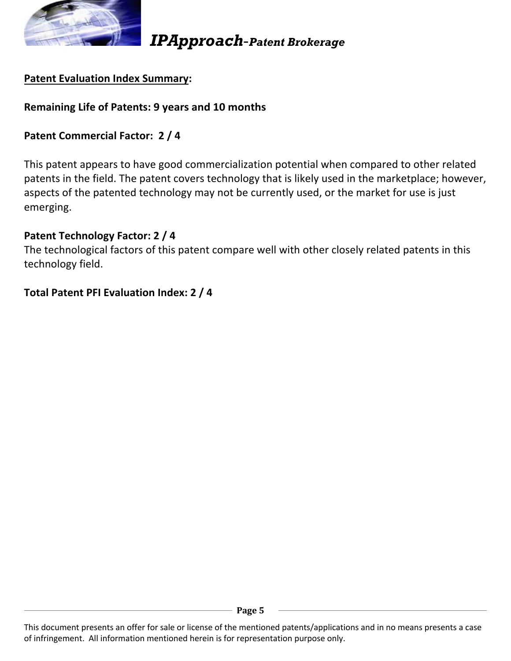

### **Patent Evaluation Index Summary:**

#### **Remaining Life of Patents: 9 years and 10 months**

#### **Patent Commercial Factor: 2 / 4**

This patent appears to have good commercialization potential when compared to other related patents in the field. The patent covers technology that is likely used in the marketplace; however, aspects of the patented technology may not be currently used, or the market for use is just emerging.

#### **Patent Technology Factor: 2 / 4**

The technological factors of this patent compare well with other closely related patents in this technology field.

#### **Total Patent PFI Evaluation Index: 2 / 4**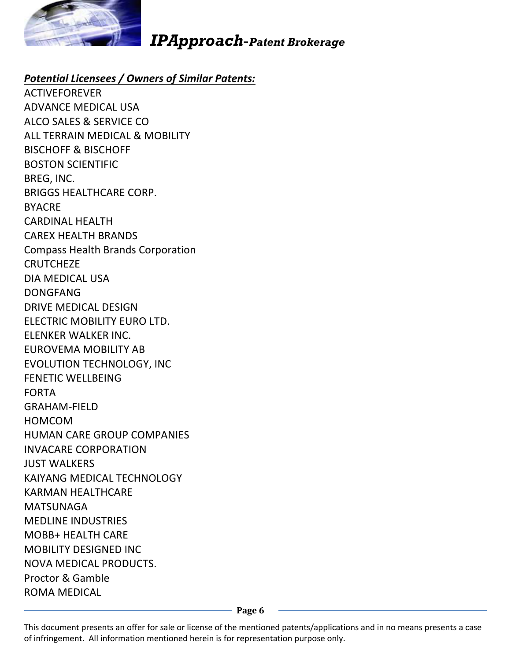

#### *Potential Licensees / Owners of Similar Patents:*

ACTIVEFOREVER ADVANCE MEDICAL USA ALCO SALES & SERVICE CO ALL TERRAIN MEDICAL & MOBILITY BISCHOFF & BISCHOFF BOSTON SCIENTIFIC BREG, INC. BRIGGS HEALTHCARE CORP. BYACRE CARDINAL HEALTH CAREX HEALTH BRANDS Compass Health Brands Corporation **CRUTCHEZE** DIA MEDICAL USA DONGFANG DRIVE MEDICAL DESIGN ELECTRIC MOBILITY EURO LTD. ELENKER WALKER INC. EUROVEMA MOBILITY AB EVOLUTION TECHNOLOGY, INC FENETIC WELLBEING FORTA GRAHAM-FIELD HOMCOM HUMAN CARE GROUP COMPANIES INVACARE CORPORATION JUST WALKERS KAIYANG MEDICAL TECHNOLOGY KARMAN HEALTHCARE MATSUNAGA MEDLINE INDUSTRIES MOBB+ HEALTH CARE MOBILITY DESIGNED INC NOVA MEDICAL PRODUCTS. Proctor & Gamble ROMA MEDICAL

Page 6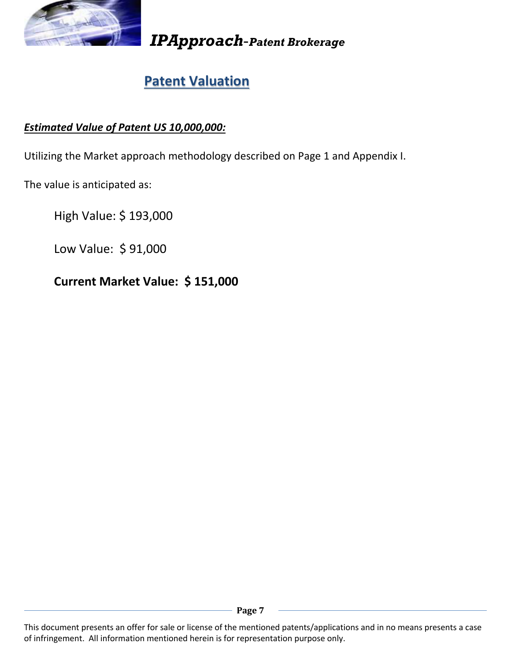

# **Patent Valuation**

## *Estimated Value of Patent US 10,000,000:*

Utilizing the Market approach methodology described on Page 1 and Appendix I.

The value is anticipated as:

High Value: \$ 193,000

Low Value: \$ 91,000

## **Current Market Value: \$ 151,000**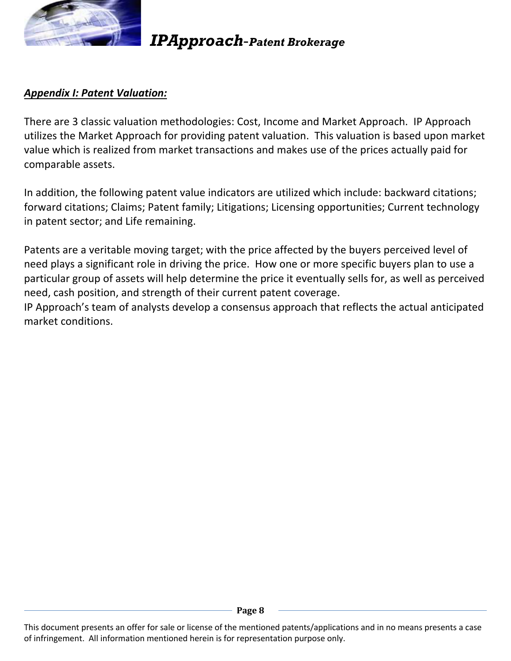

#### *Appendix I: Patent Valuation:*

There are 3 classic valuation methodologies: Cost, Income and Market Approach. IP Approach utilizes the Market Approach for providing patent valuation. This valuation is based upon market value which is realized from market transactions and makes use of the prices actually paid for comparable assets.

In addition, the following patent value indicators are utilized which include: backward citations; forward citations; Claims; Patent family; Litigations; Licensing opportunities; Current technology in patent sector; and Life remaining.

Patents are a veritable moving target; with the price affected by the buyers perceived level of need plays a significant role in driving the price. How one or more specific buyers plan to use a particular group of assets will help determine the price it eventually sells for, as well as perceived need, cash position, and strength of their current patent coverage.

IP Approach's team of analysts develop a consensus approach that reflects the actual anticipated market conditions.